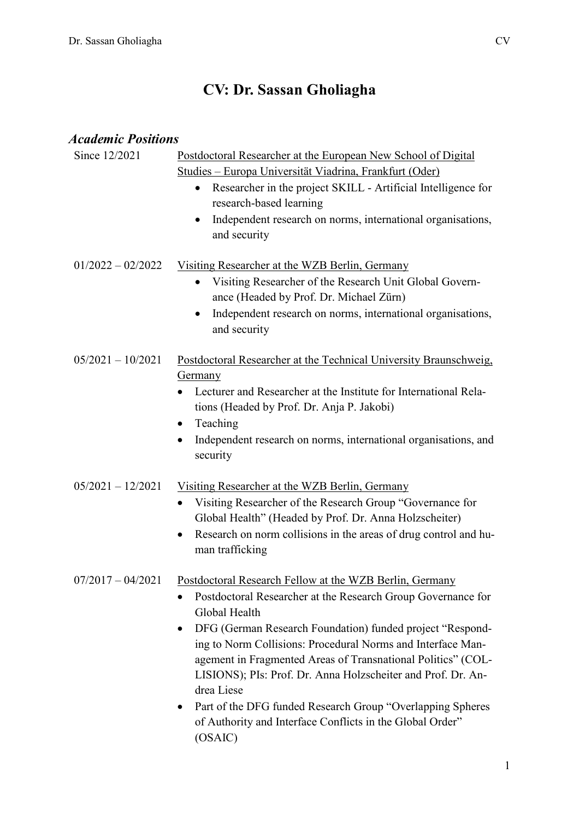# **CV: Dr. Sassan Gholiagha**

| <i><b>Academic Positions</b></i> |                                                                                                                                                                                             |  |
|----------------------------------|---------------------------------------------------------------------------------------------------------------------------------------------------------------------------------------------|--|
| Since 12/2021                    | Postdoctoral Researcher at the European New School of Digital                                                                                                                               |  |
|                                  | <u> Studies – Europa Universität Viadrina, Frankfurt (Oder)</u>                                                                                                                             |  |
|                                  | Researcher in the project SKILL - Artificial Intelligence for<br>$\bullet$<br>research-based learning                                                                                       |  |
|                                  | Independent research on norms, international organisations,<br>$\bullet$<br>and security                                                                                                    |  |
| $01/2022 - 02/2022$              | Visiting Researcher at the WZB Berlin, Germany                                                                                                                                              |  |
|                                  | Visiting Researcher of the Research Unit Global Govern-<br>$\bullet$                                                                                                                        |  |
|                                  | ance (Headed by Prof. Dr. Michael Zürn)                                                                                                                                                     |  |
|                                  | Independent research on norms, international organisations,<br>$\bullet$<br>and security                                                                                                    |  |
| $05/2021 - 10/2021$              | Postdoctoral Researcher at the Technical University Braunschweig,                                                                                                                           |  |
|                                  | <b>Germany</b>                                                                                                                                                                              |  |
|                                  | Lecturer and Researcher at the Institute for International Rela-<br>tions (Headed by Prof. Dr. Anja P. Jakobi)                                                                              |  |
|                                  | Teaching<br>$\bullet$                                                                                                                                                                       |  |
|                                  | Independent research on norms, international organisations, and<br>$\bullet$<br>security                                                                                                    |  |
| $05/2021 - 12/2021$              | Visiting Researcher at the WZB Berlin, Germany                                                                                                                                              |  |
|                                  | Visiting Researcher of the Research Group "Governance for<br>Global Health" (Headed by Prof. Dr. Anna Holzscheiter)                                                                         |  |
|                                  | Research on norm collisions in the areas of drug control and hu-<br>$\bullet$<br>man trafficking                                                                                            |  |
| $07/2017 - 04/2021$              | Postdoctoral Research Fellow at the WZB Berlin, Germany                                                                                                                                     |  |
|                                  | Postdoctoral Researcher at the Research Group Governance for<br>Global Health                                                                                                               |  |
|                                  | DFG (German Research Foundation) funded project "Respond-                                                                                                                                   |  |
|                                  | ing to Norm Collisions: Procedural Norms and Interface Man-<br>agement in Fragmented Areas of Transnational Politics" (COL-<br>LISIONS); PIs: Prof. Dr. Anna Holzscheiter and Prof. Dr. An- |  |
|                                  | drea Liese                                                                                                                                                                                  |  |
|                                  | Part of the DFG funded Research Group "Overlapping Spheres<br>of Authority and Interface Conflicts in the Global Order"<br>(OSAIC)                                                          |  |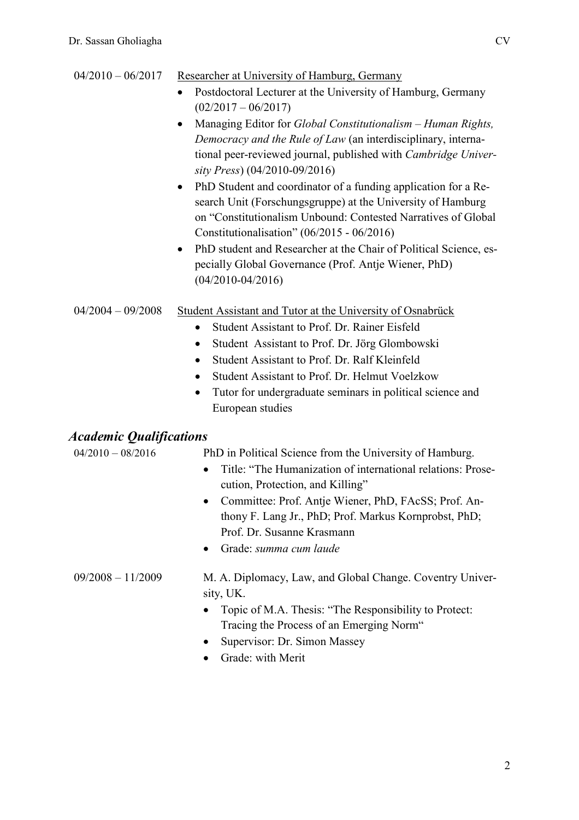| $04/2010 - 06/2017$                                          | Researcher at University of Hamburg, Germany<br>Postdoctoral Lecturer at the University of Hamburg, Germany<br>$(02/2017 - 06/2017)$<br>Managing Editor for Global Constitutionalism - Human Rights,<br>Democracy and the Rule of Law (an interdisciplinary, interna-<br>tional peer-reviewed journal, published with Cambridge Univer-<br>sity Press) (04/2010-09/2016)<br>PhD Student and coordinator of a funding application for a Re-<br>$\bullet$<br>search Unit (Forschungsgruppe) at the University of Hamburg<br>on "Constitutionalism Unbound: Contested Narratives of Global<br>Constitutionalisation" $(06/2015 - 06/2016)$<br>PhD student and Researcher at the Chair of Political Science, es-<br>$\bullet$<br>pecially Global Governance (Prof. Antje Wiener, PhD)<br>$(04/2010 - 04/2016)$ |
|--------------------------------------------------------------|------------------------------------------------------------------------------------------------------------------------------------------------------------------------------------------------------------------------------------------------------------------------------------------------------------------------------------------------------------------------------------------------------------------------------------------------------------------------------------------------------------------------------------------------------------------------------------------------------------------------------------------------------------------------------------------------------------------------------------------------------------------------------------------------------------|
| $04/2004 - 09/2008$                                          | Student Assistant and Tutor at the University of Osnabrück<br>Student Assistant to Prof. Dr. Rainer Eisfeld<br>$\bullet$<br>Student Assistant to Prof. Dr. Jörg Glombowski<br>$\bullet$<br>Student Assistant to Prof. Dr. Ralf Kleinfeld<br>Student Assistant to Prof. Dr. Helmut Voelzkow<br>$\bullet$<br>Tutor for undergraduate seminars in political science and<br>$\bullet$<br>European studies                                                                                                                                                                                                                                                                                                                                                                                                      |
| <i><b>Academic Qualifications</b></i><br>$04/2010 - 08/2016$ | PhD in Political Science from the University of Hamburg.<br>Title: "The Humanization of international relations: Prose-<br>$\bullet$<br>cution, Protection, and Killing"<br>Committee: Prof. Antje Wiener, PhD, FAcSS; Prof. An-<br>thony F. Lang Jr., PhD; Prof. Markus Kornprobst, PhD;<br>Prof. Dr. Susanne Krasmann<br>Grade: summa cum laude                                                                                                                                                                                                                                                                                                                                                                                                                                                          |
| $09/2008 - 11/2009$                                          | M. A. Diplomacy, Law, and Global Change. Coventry Univer-<br>sity, UK.<br>Topic of M.A. Thesis: "The Responsibility to Protect:<br>Tracing the Process of an Emerging Norm"<br>Supervisor: Dr. Simon Massey<br>Grade: with Merit                                                                                                                                                                                                                                                                                                                                                                                                                                                                                                                                                                           |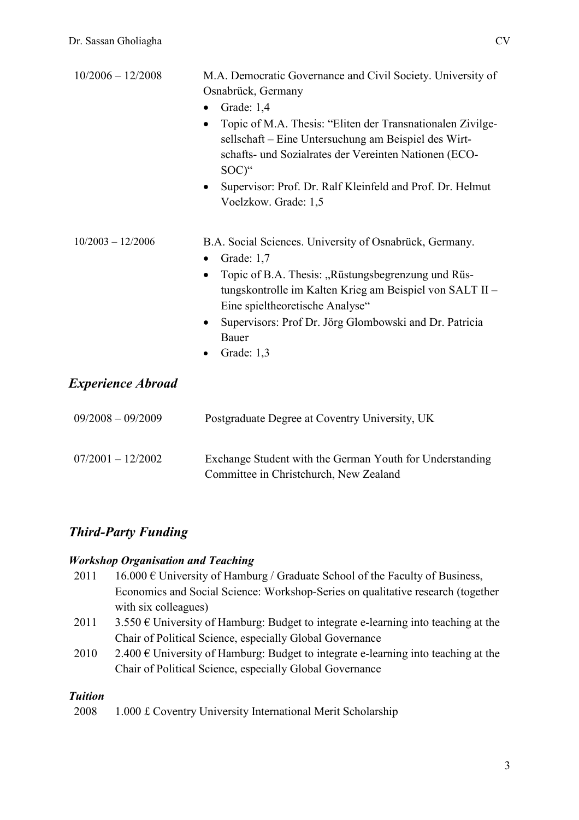| $10/2006 - 12/2008$      | M.A. Democratic Governance and Civil Society. University of<br>Osnabrück, Germany<br>Grade: 1,4<br>Topic of M.A. Thesis: "Eliten der Transnationalen Zivilge-<br>$\bullet$<br>sellschaft - Eine Untersuchung am Beispiel des Wirt-<br>schafts- und Sozialrates der Vereinten Nationen (ECO-<br>SOC)"<br>Supervisor: Prof. Dr. Ralf Kleinfeld and Prof. Dr. Helmut<br>$\bullet$<br>Voelzkow. Grade: 1,5 |
|--------------------------|--------------------------------------------------------------------------------------------------------------------------------------------------------------------------------------------------------------------------------------------------------------------------------------------------------------------------------------------------------------------------------------------------------|
| $10/2003 - 12/2006$      | B.A. Social Sciences. University of Osnabrück, Germany.<br>Grade: 1,7<br>$\bullet$<br>Topic of B.A. Thesis: "Rüstungsbegrenzung und Rüs-<br>tungskontrolle im Kalten Krieg am Beispiel von SALT II-<br>Eine spieltheoretische Analyse"<br>Supervisors: Prof Dr. Jörg Glombowski and Dr. Patricia<br>$\bullet$<br>Bauer<br>Grade: 1,3                                                                   |
| <b>Experience Abroad</b> |                                                                                                                                                                                                                                                                                                                                                                                                        |
| $09/2008 - 09/2009$      | Postgraduate Degree at Coventry University, UK                                                                                                                                                                                                                                                                                                                                                         |
| $07/2001 - 12/2002$      | Exchange Student with the German Youth for Understanding<br>Committee in Christchurch, New Zealand                                                                                                                                                                                                                                                                                                     |

## *Third-Party Funding*

#### *Workshop Organisation and Teaching*

- 2011 16.000  $\epsilon$  University of Hamburg / Graduate School of the Faculty of Business, Economics and Social Science: Workshop-Series on qualitative research (together with six colleagues)
- 2011 3.550  $\epsilon$  University of Hamburg: Budget to integrate e-learning into teaching at the Chair of Political Science, especially Global Governance
- 2010 2.400  $\epsilon$  University of Hamburg: Budget to integrate e-learning into teaching at the Chair of Political Science, especially Global Governance

#### *Tuition*

2008 1.000 £ Coventry University International Merit Scholarship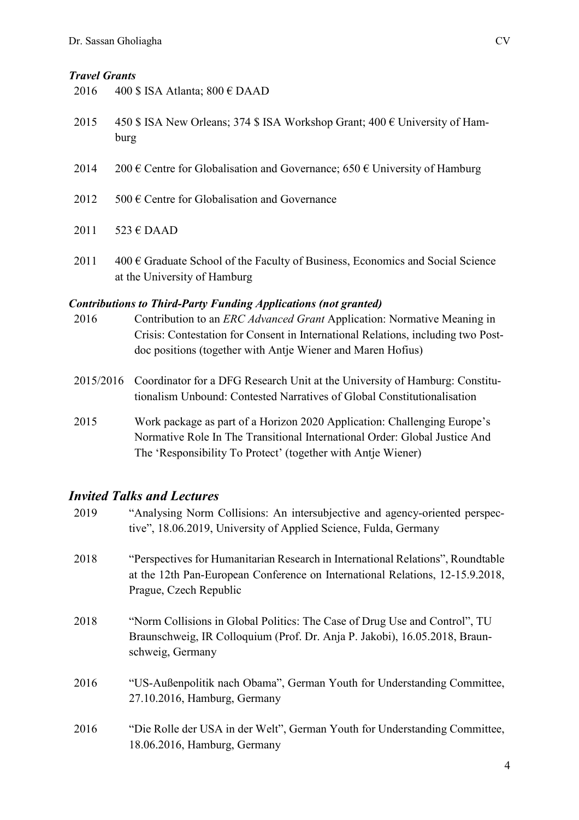#### *Travel Grants*

| 2016 | 400 \$ ISA Atlanta; $800 \text{ } \in \text{DAAD}$                                           |
|------|----------------------------------------------------------------------------------------------|
| 2015 | 450 \$ ISA New Orleans; 374 \$ ISA Workshop Grant; 400 $\epsilon$ University of Ham-<br>burg |
| 2014 | 200 € Centre for Globalisation and Governance; 650 € University of Hamburg                   |
| 2012 | $500 \text{ }\in$ Centre for Globalisation and Governance                                    |

- 2011  $523 \text{ } \in \text{DAAD}$
- 2011  $400 \text{ }\epsilon$  Graduate School of the Faculty of Business, Economics and Social Science at the University of Hamburg

#### *Contributions to Third-Party Funding Applications (not granted)*

- 2016 Contribution to an *ERC Advanced Grant* Application: Normative Meaning in Crisis: Contestation for Consent in International Relations, including two Postdoc positions (together with Antje Wiener and Maren Hofius)
- 2015/2016 Coordinator for a DFG Research Unit at the University of Hamburg: Constitutionalism Unbound: Contested Narratives of Global Constitutionalisation
- 2015 Work package as part of a Horizon 2020 Application: Challenging Europe's Normative Role In The Transitional International Order: Global Justice And The 'Responsibility To Protect' (together with Antje Wiener)

## *Invited Talks and Lectures*

| 2019 | "Analysing Norm Collisions: An intersubjective and agency-oriented perspec-<br>tive", 18.06.2019, University of Applied Science, Fulda, Germany                                            |
|------|--------------------------------------------------------------------------------------------------------------------------------------------------------------------------------------------|
| 2018 | "Perspectives for Humanitarian Research in International Relations", Roundtable<br>at the 12th Pan-European Conference on International Relations, 12-15.9.2018,<br>Prague, Czech Republic |
| 2018 | "Norm Collisions in Global Politics: The Case of Drug Use and Control", TU<br>Braunschweig, IR Colloquium (Prof. Dr. Anja P. Jakobi), 16.05.2018, Braun-<br>schweig, Germany               |
| 2016 | "US-Außenpolitik nach Obama", German Youth for Understanding Committee,<br>27.10.2016, Hamburg, Germany                                                                                    |
| 2016 | "Die Rolle der USA in der Welt", German Youth for Understanding Committee,<br>18.06.2016, Hamburg, Germany                                                                                 |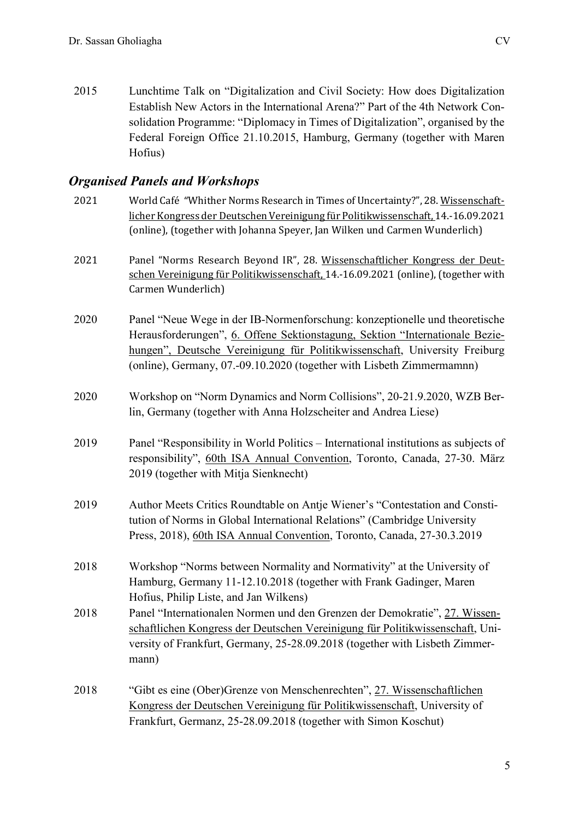2015 Lunchtime Talk on "Digitalization and Civil Society: How does Digitalization Establish New Actors in the International Arena?" Part of the 4th Network Consolidation Programme: "Diplomacy in Times of Digitalization", organised by the Federal Foreign Office 21.10.2015, Hamburg, Germany (together with Maren Hofius)

## *Organised Panels and Workshops*

| 2021 | World Café "Whither Norms Research in Times of Uncertainty?", 28. Wissenschaft-<br>licher Kongress der Deutschen Vereinigung für Politikwissenschaft, 14.-16.09.2021<br>(online), (together with Johanna Speyer, Jan Wilken und Carmen Wunderlich)                                                                 |
|------|--------------------------------------------------------------------------------------------------------------------------------------------------------------------------------------------------------------------------------------------------------------------------------------------------------------------|
| 2021 | Panel "Norms Research Beyond IR", 28. Wissenschaftlicher Kongress der Deut-<br>schen Vereinigung für Politikwissenschaft, 14.-16.09.2021 (online), (together with<br>Carmen Wunderlich)                                                                                                                            |
| 2020 | Panel "Neue Wege in der IB-Normenforschung: konzeptionelle und theoretische<br>Herausforderungen", 6. Offene Sektionstagung, Sektion "Internationale Bezie-<br>hungen", Deutsche Vereinigung für Politikwissenschaft, University Freiburg<br>(online), Germany, 07.-09.10.2020 (together with Lisbeth Zimmermamnn) |
| 2020 | Workshop on "Norm Dynamics and Norm Collisions", 20-21.9.2020, WZB Ber-<br>lin, Germany (together with Anna Holzscheiter and Andrea Liese)                                                                                                                                                                         |
| 2019 | Panel "Responsibility in World Politics – International institutions as subjects of<br>responsibility", 60th ISA Annual Convention, Toronto, Canada, 27-30. März<br>2019 (together with Mitja Sienknecht)                                                                                                          |
| 2019 | Author Meets Critics Roundtable on Antje Wiener's "Contestation and Consti-<br>tution of Norms in Global International Relations" (Cambridge University<br>Press, 2018), 60th ISA Annual Convention, Toronto, Canada, 27-30.3.2019                                                                                 |
| 2018 | Workshop "Norms between Normality and Normativity" at the University of<br>Hamburg, Germany 11-12.10.2018 (together with Frank Gadinger, Maren<br>Hofius, Philip Liste, and Jan Wilkens)                                                                                                                           |
| 2018 | Panel "Internationalen Normen und den Grenzen der Demokratie", 27. Wissen-<br>schaftlichen Kongress der Deutschen Vereinigung für Politikwissenschaft, Uni-<br>versity of Frankfurt, Germany, 25-28.09.2018 (together with Lisbeth Zimmer-<br>mann)                                                                |
| 2018 | "Gibt es eine (Ober)Grenze von Menschenrechten", 27. Wissenschaftlichen<br>Kongress der Deutschen Vereinigung für Politikwissenschaft, University of<br>Frankfurt, Germanz, 25-28.09.2018 (together with Simon Koschut)                                                                                            |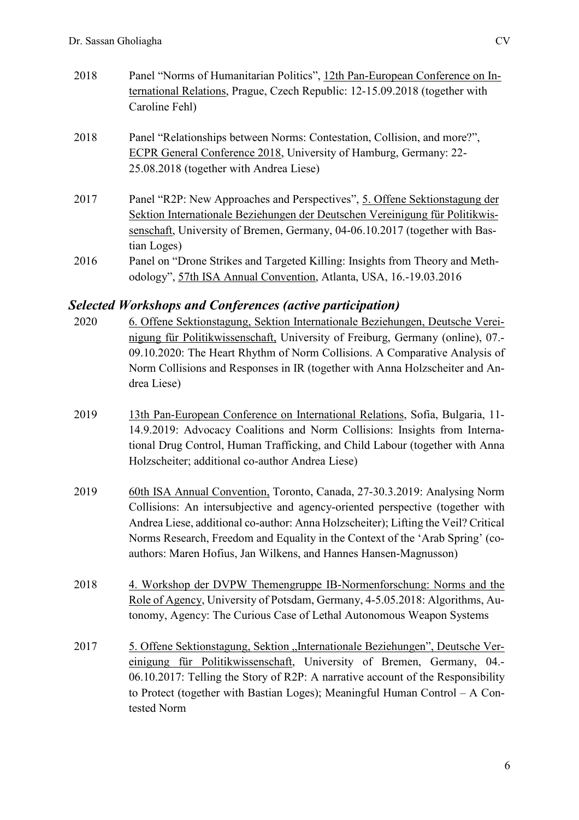- 2018 Panel "Norms of Humanitarian Politics", 12th Pan-European Conference on International Relations, Prague, Czech Republic: 12-15.09.2018 (together with Caroline Fehl)
- 2018 Panel "Relationships between Norms: Contestation, Collision, and more?", ECPR General Conference 2018, University of Hamburg, Germany: 22- 25.08.2018 (together with Andrea Liese)
- 2017 Panel "R2P: New Approaches and Perspectives", 5. Offene Sektionstagung der Sektion Internationale Beziehungen der Deutschen Vereinigung für Politikwissenschaft, University of Bremen, Germany, 04-06.10.2017 (together with Bastian Loges)
- 2016 Panel on "Drone Strikes and Targeted Killing: Insights from Theory and Methodology", 57th ISA Annual Convention, Atlanta, USA, 16.-19.03.2016

## *Selected Workshops and Conferences (active participation)*

- 2020 6. Offene Sektionstagung, Sektion Internationale Beziehungen, Deutsche Vereinigung für Politikwissenschaft, University of Freiburg, Germany (online), 07.- 09.10.2020: The Heart Rhythm of Norm Collisions. A Comparative Analysis of Norm Collisions and Responses in IR (together with Anna Holzscheiter and Andrea Liese)
- 2019 13th Pan-European Conference on International Relations, Sofia, Bulgaria, 11- 14.9.2019: Advocacy Coalitions and Norm Collisions: Insights from International Drug Control, Human Trafficking, and Child Labour (together with Anna Holzscheiter; additional co-author Andrea Liese)
- 2019 60th ISA Annual Convention, Toronto, Canada, 27-30.3.2019: Analysing Norm Collisions: An intersubjective and agency-oriented perspective (together with Andrea Liese, additional co-author: Anna Holzscheiter); Lifting the Veil? Critical Norms Research, Freedom and Equality in the Context of the 'Arab Spring' (coauthors: Maren Hofius, Jan Wilkens, and Hannes Hansen-Magnusson)
- 2018 4. Workshop der DVPW Themengruppe IB-Normenforschung: Norms and the Role of Agency, University of Potsdam, Germany, 4-5.05.2018: Algorithms, Autonomy, Agency: The Curious Case of Lethal Autonomous Weapon Systems
- 2017 5. Offene Sektionstagung, Sektion "Internationale Beziehungen", Deutsche Vereinigung für Politikwissenschaft, University of Bremen, Germany, 04.- 06.10.2017: Telling the Story of R2P: A narrative account of the Responsibility to Protect (together with Bastian Loges); Meaningful Human Control – A Contested Norm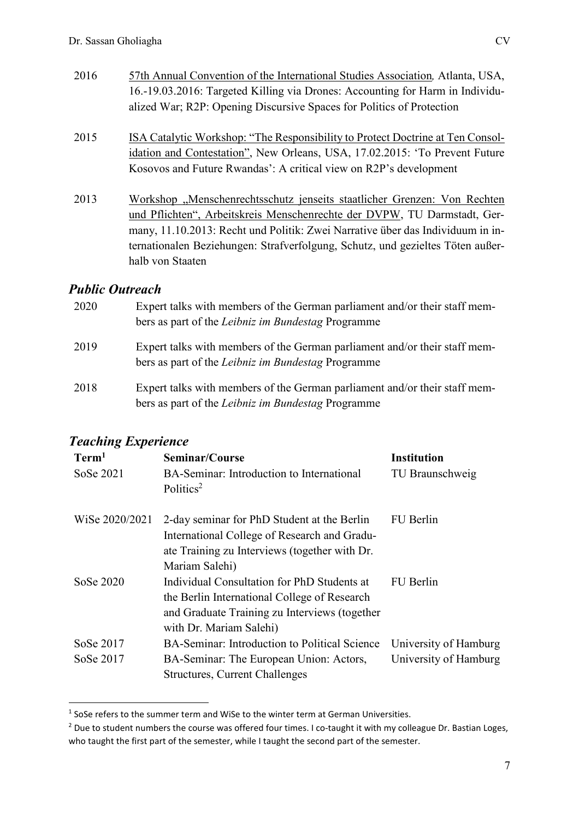- 2016 57th Annual Convention of the International Studies Association*,* Atlanta, USA, 16.-19.03.2016: Targeted Killing via Drones: Accounting for Harm in Individualized War; R2P: Opening Discursive Spaces for Politics of Protection
- 2015 ISA Catalytic Workshop: "The Responsibility to Protect Doctrine at Ten Consolidation and Contestation", New Orleans, USA, 17.02.2015: 'To Prevent Future Kosovos and Future Rwandas': A critical view on R2P's development
- 2013 Workshop "Menschenrechtsschutz jenseits staatlicher Grenzen: Von Rechten und Pflichten", Arbeitskreis Menschenrechte der DVPW, TU Darmstadt, Germany, 11.10.2013: Recht und Politik: Zwei Narrative über das Individuum in internationalen Beziehungen: Strafverfolgung, Schutz, und gezieltes Töten außerhalb von Staaten

## *Public Outreach*

| 2020 | Expert talks with members of the German parliament and/or their staff mem-<br>bers as part of the <i>Leibniz im Bundestag</i> Programme |
|------|-----------------------------------------------------------------------------------------------------------------------------------------|
| 2019 | Expert talks with members of the German parliament and/or their staff mem-<br>bers as part of the <i>Leibniz im Bundestag</i> Programme |
| 2018 | Expert talks with members of the German parliament and/or their staff mem-<br>bers as part of the <i>Leibniz im Bundestag</i> Programme |

## *Teaching Experience*

l

| Term <sup>1</sup><br>SoSe 2021 | Seminar/Course<br>BA-Seminar: Introduction to International<br>Politics <sup>2</sup>                                                                                    | <b>Institution</b><br>TU Braunschweig          |
|--------------------------------|-------------------------------------------------------------------------------------------------------------------------------------------------------------------------|------------------------------------------------|
| WiSe 2020/2021                 | 2-day seminar for PhD Student at the Berlin<br>International College of Research and Gradu-<br>ate Training zu Interviews (together with Dr.<br>Mariam Salehi)          | FU Berlin                                      |
| SoSe 2020                      | Individual Consultation for PhD Students at<br>the Berlin International College of Research<br>and Graduate Training zu Interviews (together<br>with Dr. Mariam Salehi) | FU Berlin                                      |
| SoSe 2017<br>SoSe 2017         | BA-Seminar: Introduction to Political Science<br>BA-Seminar: The European Union: Actors,<br><b>Structures, Current Challenges</b>                                       | University of Hamburg<br>University of Hamburg |

 $<sup>1</sup>$  SoSe refers to the summer term and WiSe to the winter term at German Universities.</sup>

<sup>&</sup>lt;sup>2</sup> Due to student numbers the course was offered four times. I co-taught it with my colleague Dr. Bastian Loges, who taught the first part of the semester, while I taught the second part of the semester.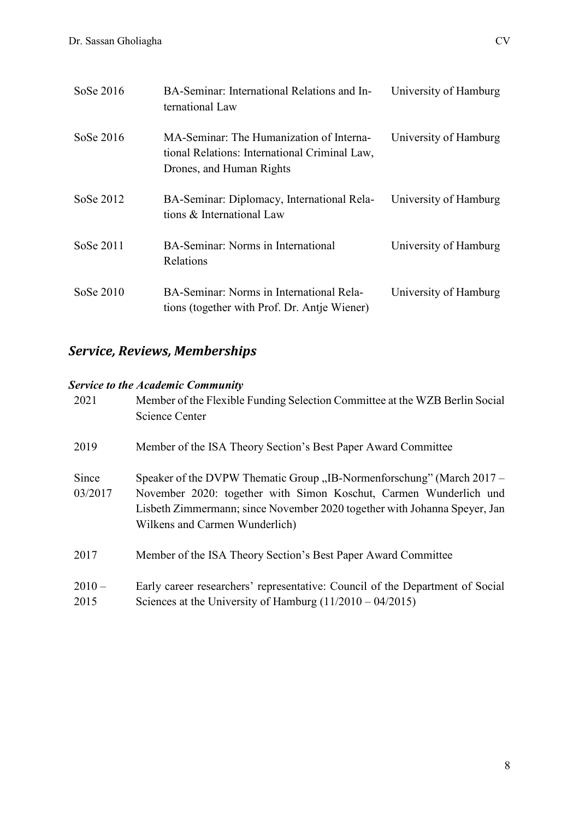| SoSe 2016   | BA-Seminar: International Relations and In-<br>ternational Law                                                        | University of Hamburg |
|-------------|-----------------------------------------------------------------------------------------------------------------------|-----------------------|
| SoSe 2016   | MA-Seminar: The Humanization of Interna-<br>tional Relations: International Criminal Law,<br>Drones, and Human Rights | University of Hamburg |
| SoSe 2012   | BA-Seminar: Diplomacy, International Rela-<br>tions & International Law                                               | University of Hamburg |
| SoSe 2011   | BA-Seminar: Norms in International<br>Relations                                                                       | University of Hamburg |
| SoSe $2010$ | BA-Seminar: Norms in International Rela-<br>tions (together with Prof. Dr. Antie Wiener)                              | University of Hamburg |

## *Service, Reviews, Memberships*

## *Service to the Academic Community*

| 2021             | Member of the Flexible Funding Selection Committee at the WZB Berlin Social<br>Science Center                                                                                                                                                             |
|------------------|-----------------------------------------------------------------------------------------------------------------------------------------------------------------------------------------------------------------------------------------------------------|
| 2019             | Member of the ISA Theory Section's Best Paper Award Committee                                                                                                                                                                                             |
| Since<br>03/2017 | Speaker of the DVPW Thematic Group "IB-Normenforschung" (March 2017 –<br>November 2020: together with Simon Koschut, Carmen Wunderlich und<br>Lisbeth Zimmermann; since November 2020 together with Johanna Speyer, Jan<br>Wilkens and Carmen Wunderlich) |
| 2017             | Member of the ISA Theory Section's Best Paper Award Committee                                                                                                                                                                                             |
| $2010 -$<br>2015 | Early career researchers' representative: Council of the Department of Social<br>Sciences at the University of Hamburg $(11/2010 - 04/2015)$                                                                                                              |